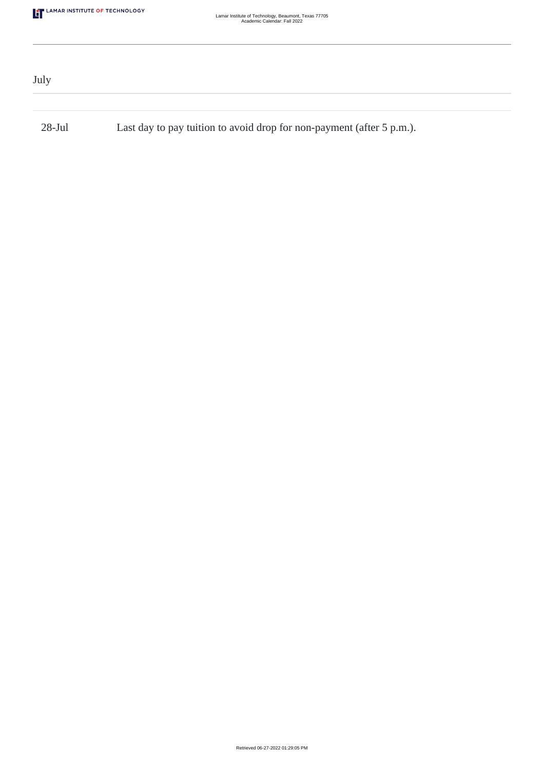| July      |                                                                       |  |
|-----------|-----------------------------------------------------------------------|--|
|           |                                                                       |  |
| $28$ -Jul | Last day to pay tuition to avoid drop for non-payment (after 5 p.m.). |  |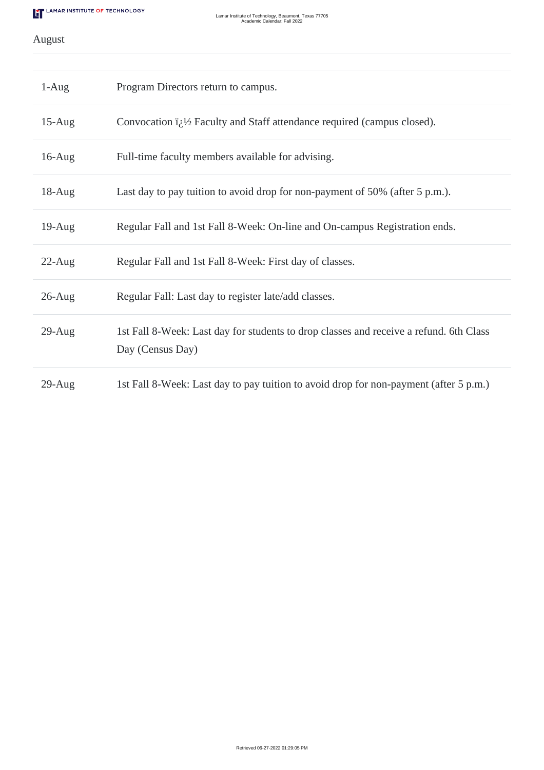# August

| $1-Aug$   | Program Directors return to campus.                                                                        |
|-----------|------------------------------------------------------------------------------------------------------------|
| $15$ -Aug | Convocation $i_{\zeta}$ <sup>1</sup> / <sub>2</sub> Faculty and Staff attendance required (campus closed). |
| $16$ -Aug | Full-time faculty members available for advising.                                                          |
| $18-Aug$  | Last day to pay tuition to avoid drop for non-payment of 50% (after 5 p.m.).                               |
| $19$ -Aug | Regular Fall and 1st Fall 8-Week: On-line and On-campus Registration ends.                                 |
| $22$ -Aug | Regular Fall and 1st Fall 8-Week: First day of classes.                                                    |
| $26$ -Aug | Regular Fall: Last day to register late/add classes.                                                       |
| $29$ -Aug | 1st Fall 8-Week: Last day for students to drop classes and receive a refund. 6th Class<br>Day (Census Day) |
| $29$ -Aug | 1st Fall 8-Week: Last day to pay tuition to avoid drop for non-payment (after 5 p.m.)                      |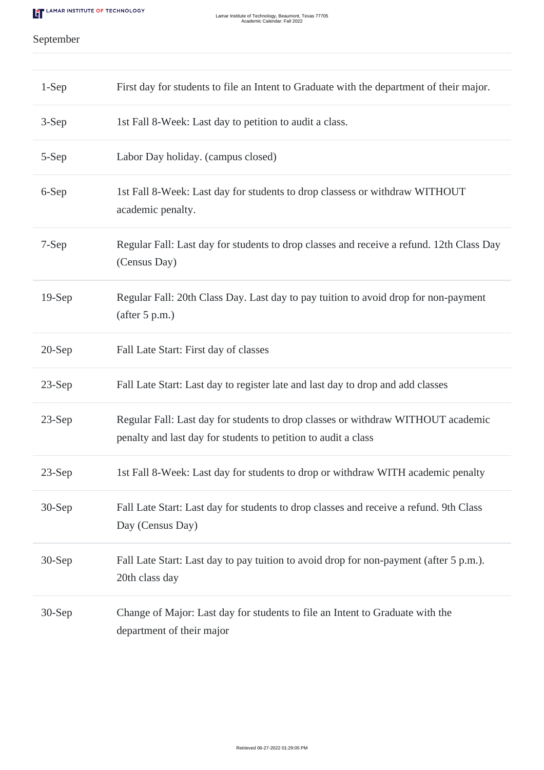# September

| $1-Sep$  | First day for students to file an Intent to Graduate with the department of their major.                                                           |
|----------|----------------------------------------------------------------------------------------------------------------------------------------------------|
| $3-Sep$  | 1st Fall 8-Week: Last day to petition to audit a class.                                                                                            |
| 5-Sep    | Labor Day holiday. (campus closed)                                                                                                                 |
| 6-Sep    | 1st Fall 8-Week: Last day for students to drop classess or withdraw WITHOUT<br>academic penalty.                                                   |
| 7-Sep    | Regular Fall: Last day for students to drop classes and receive a refund. 12th Class Day<br>(Census Day)                                           |
| $19-Sep$ | Regular Fall: 20th Class Day. Last day to pay tuition to avoid drop for non-payment<br>(after 5 p.m.)                                              |
| $20-Sep$ | Fall Late Start: First day of classes                                                                                                              |
| $23-Sep$ | Fall Late Start: Last day to register late and last day to drop and add classes                                                                    |
| $23-Sep$ | Regular Fall: Last day for students to drop classes or withdraw WITHOUT academic<br>penalty and last day for students to petition to audit a class |
| $23-Sep$ | 1st Fall 8-Week: Last day for students to drop or withdraw WITH academic penalty                                                                   |
| $30-Sep$ | Fall Late Start: Last day for students to drop classes and receive a refund. 9th Class<br>Day (Census Day)                                         |
| $30-Sep$ | Fall Late Start: Last day to pay tuition to avoid drop for non-payment (after 5 p.m.).<br>20th class day                                           |
| $30-Sep$ | Change of Major: Last day for students to file an Intent to Graduate with the<br>department of their major                                         |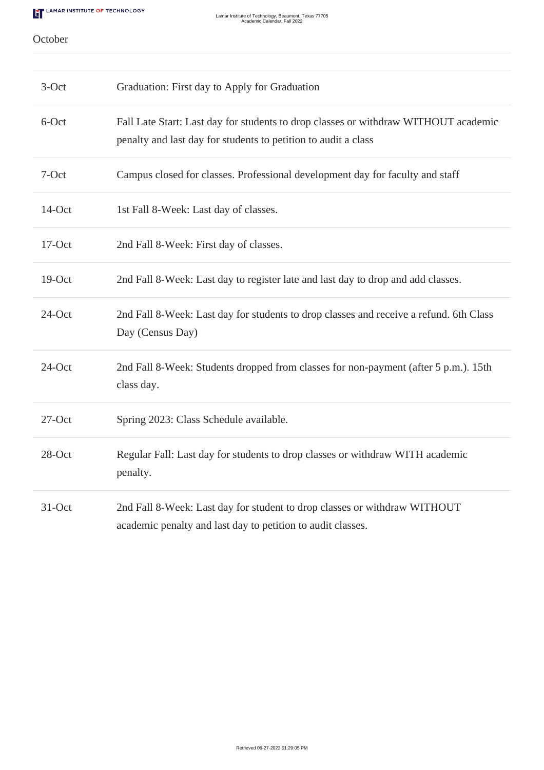#### October

| $3-Oct$   | Graduation: First day to Apply for Graduation                                                                                                         |
|-----------|-------------------------------------------------------------------------------------------------------------------------------------------------------|
| 6-Oct     | Fall Late Start: Last day for students to drop classes or withdraw WITHOUT academic<br>penalty and last day for students to petition to audit a class |
| 7-Oct     | Campus closed for classes. Professional development day for faculty and staff                                                                         |
| 14-Oct    | 1st Fall 8-Week: Last day of classes.                                                                                                                 |
| 17-Oct    | 2nd Fall 8-Week: First day of classes.                                                                                                                |
| 19-Oct    | 2nd Fall 8-Week: Last day to register late and last day to drop and add classes.                                                                      |
| 24-Oct    | 2nd Fall 8-Week: Last day for students to drop classes and receive a refund. 6th Class<br>Day (Census Day)                                            |
| $24$ -Oct | 2nd Fall 8-Week: Students dropped from classes for non-payment (after 5 p.m.). 15th<br>class day.                                                     |
| $27$ -Oct | Spring 2023: Class Schedule available.                                                                                                                |
| 28-Oct    | Regular Fall: Last day for students to drop classes or withdraw WITH academic<br>penalty.                                                             |
| 31-Oct    | 2nd Fall 8-Week: Last day for student to drop classes or withdraw WITHOUT<br>academic penalty and last day to petition to audit classes.              |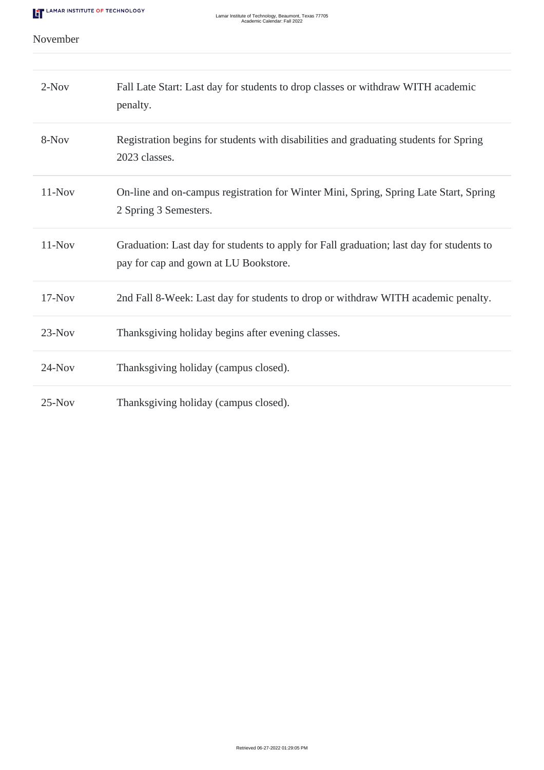### November

| $2-Nov$  | Fall Late Start: Last day for students to drop classes or withdraw WITH academic<br>penalty.                                      |
|----------|-----------------------------------------------------------------------------------------------------------------------------------|
| 8-Nov    | Registration begins for students with disabilities and graduating students for Spring<br>2023 classes.                            |
| $11-Nov$ | On-line and on-campus registration for Winter Mini, Spring, Spring Late Start, Spring<br>2 Spring 3 Semesters.                    |
| $11-Nov$ | Graduation: Last day for students to apply for Fall graduation; last day for students to<br>pay for cap and gown at LU Bookstore. |
| $17-Nov$ | 2nd Fall 8-Week: Last day for students to drop or withdraw WITH academic penalty.                                                 |
| $23-Nov$ | Thanksgiving holiday begins after evening classes.                                                                                |
| $24-Nov$ | Thanksgiving holiday (campus closed).                                                                                             |
| $25-Nov$ | Thanksgiving holiday (campus closed).                                                                                             |